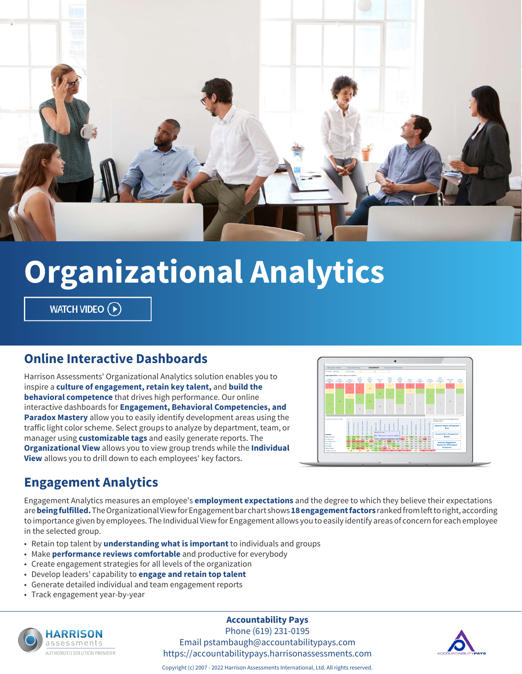

# **Organizational Analytics**

WATCH VIDEO (D)

#### **Online Interactive Dashboards**

Harrison Assessments' Organizational Analytics solution enables you to inspire a **culture of engagement, retain key talent,** and **build the behavioral competence** that drives high performance. Our online interactive dashboards for **Engagement, Behavioral Competencies, and Paradox Mastery** allow you to easily identify development areas using the traffic light color scheme. Select groups to analyze by department, team, or manager using **customizable tags** and easily generate reports. The **Organizational View** allows you to view group trends while the **Individual View** allows you to drill down to each employees' key factors.



#### **Engagement Analytics**

Engagement Analytics measures an employee's **employment expectations** and the degree to which they believe their expectations are **being fulfilled.** The Organizational View for Engagement bar chart shows **18 engagement factors** ranked from left to right, according to importance given by employees. The Individual View for Engagement allows you to easily identify areas of concern for each employee in the selected group.

- Retain top talent by **understanding what is important** to individuals and groups
- Make **performance reviews comfortable** and productive for everybody
- Create engagement strategies for all levels of the organization
- Develop leaders' capability to **engage and retain top talent**
- Generate detailed individual and team engagement reports
- Track engagement year-by-year



#### **Accountability Pays**

Phone (619) 231-0195 Email pstambaugh@accountabilitypays.com https://accountabilitypays.harrisonassessments.com